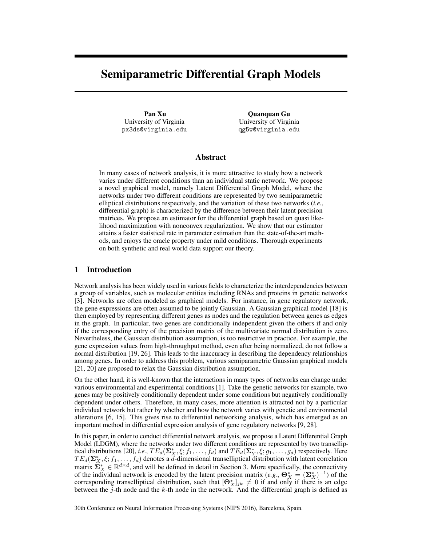# Semiparametric Differential Graph Models

Pan Xu University of Virginia px3ds@virginia.edu

Quanquan Gu University of Virginia qg5w@virginia.edu

## Abstract

In many cases of network analysis, it is more attractive to study how a network varies under different conditions than an individual static network. We propose a novel graphical model, namely Latent Differential Graph Model, where the networks under two different conditions are represented by two semiparametric elliptical distributions respectively, and the variation of these two networks (*i.e.*, differential graph) is characterized by the difference between their latent precision matrices. We propose an estimator for the differential graph based on quasi likelihood maximization with nonconvex regularization. We show that our estimator attains a faster statistical rate in parameter estimation than the state-of-the-art methods, and enjoys the oracle property under mild conditions. Thorough experiments on both synthetic and real world data support our theory.

## 1 Introduction

Network analysis has been widely used in various fields to characterize the interdependencies between a group of variables, such as molecular entities including RNAs and proteins in genetic networks [3]. Networks are often modeled as graphical models. For instance, in gene regulatory network, the gene expressions are often assumed to be jointly Gaussian. A Gaussian graphical model [18] is then employed by representing different genes as nodes and the regulation between genes as edges in the graph. In particular, two genes are conditionally independent given the others if and only if the corresponding entry of the precision matrix of the multivariate normal distribution is zero. Nevertheless, the Gaussian distribution assumption, is too restrictive in practice. For example, the gene expression values from high-throughput method, even after being normalized, do not follow a normal distribution [19, 26]. This leads to the inaccuracy in describing the dependency relationships among genes. In order to address this problem, various semiparametric Gaussian graphical models [21, 20] are proposed to relax the Gaussian distribution assumption.

On the other hand, it is well-known that the interactions in many types of networks can change under various environmental and experimental conditions [1]. Take the genetic networks for example, two genes may be positively conditionally dependent under some conditions but negatively conditionally dependent under others. Therefore, in many cases, more attention is attracted not by a particular individual network but rather by whether and how the network varies with genetic and environmental alterations [6, 15]. This gives rise to differential networking analysis, which has emerged as an important method in differential expression analysis of gene regulatory networks [9, 28].

In this paper, in order to conduct differential network analysis, we propose a Latent Differential Graph Model (LDGM), where the networks under two different conditions are represented by two transelliptical distributions [20], *i.e.*,  $TE_d(\Sigma^*_X, \xi; f_1, \ldots, f_d)$  and  $TE_d(\Sigma^*_Y, \xi; g_1, \ldots, g_d)$  respectively. Here  $TE_d(\Sigma^*_X, \xi; f_1, \ldots, f_d)$  denotes a *d*-dimensional transelliptical distribution with latent correlation matrix  $\Sigma_X^* \in \mathbb{R}^{d \times d}$ , and will be defined in detail in Section 3. More specifically, the connectivity of the individual network is encoded by the latent precision matrix  $(e.g., \Theta_X^* = (\Sigma_X^*)^{-1})$  of the corresponding transelliptical distribution, such that  $[\Theta^*_{X}]_{jk} \neq 0$  if and only if there is an edge between the *j*-th node and the *k*-th node in the network. And the differential graph is defined as

30th Conference on Neural Information Processing Systems (NIPS 2016), Barcelona, Spain.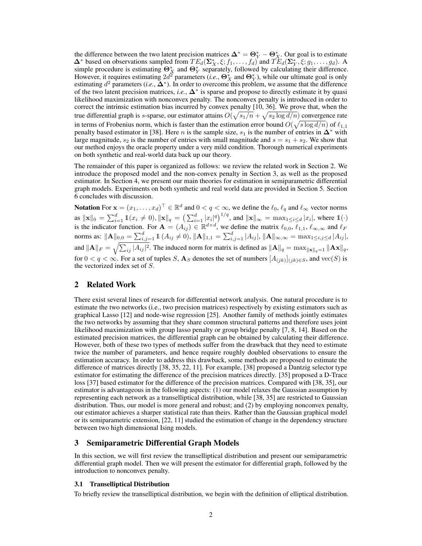the difference between the two latent precision matrices  $\Delta^* = \Theta^*_{Y} - \Theta^*_{X}$ . Our goal is to estimate  $\Delta^*$  based on observations sampled from  $TE_d(\Sigma^*_X, \xi; f_1, \ldots, f_d)$  and  $TE_d(\Sigma^*_Y, \xi; g_1, \ldots, g_d)$ . A simple procedure is estimating  $\Theta_X^*$  and  $\Theta_Y^*$  separately, followed by calculating their difference. However, it requires estimating  $2d^2$  parameters (*i.e.*,  $\mathbf{\Theta}_X^*$  and  $\mathbf{\Theta}_Y^*$ ), while our ultimate goal is only estimating  $d^2$  parameters (*i.e.*,  $\Delta^*$ ). In order to overcome this problem, we assume that the difference of the two latent precision matrices, *i.e.*,  $\Delta^*$  is sparse and propose to directly estimate it by quasi likelihood maximization with nonconvex penalty. The nonconvex penalty is introduced in order to correct the intrinsic estimation bias incurred by convex penalty [10, 36]. We prove that, when the true differential graph is *s*-sparse, our estimator attains  $O(\sqrt{s_1/n} + \sqrt{s_2 \log d/n})$  convergence rate in terms of Frobenius norm, which is faster than the estimation error bound  $O(\sqrt{s \log d/n})$  of  $\ell_{1,1}$ penalty based estimator in [38]. Here *n* is the sample size,  $s_1$  is the number of entries in  $\Delta^*$  with large magnitude,  $s_2$  is the number of entries with small magnitude and  $s = s_1 + s_2$ . We show that our method enjoys the oracle property under a very mild condition. Thorough numerical experiments on both synthetic and real-world data back up our theory.

The remainder of this paper is organized as follows: we review the related work in Section 2. We introduce the proposed model and the non-convex penalty in Section 3, as well as the proposed estimator. In Section 4, we present our main theories for estimation in semiparametric differential graph models. Experiments on both synthetic and real world data are provided in Section 5. Section 6 concludes with discussion.

Notation For  $\mathbf{x} = (x_1, \dots, x_d)^\top \in \mathbb{R}^d$  and  $0 < q < \infty$ , we define the  $\ell_0, \ell_q$  and  $\ell_\infty$  vector norms as  $\|\mathbf{x}\|_0 = \sum_{i=1}^d \mathbb{1}(x_i \neq 0), \|\mathbf{x}\|_q = \left(\sum_{i=1}^d |x_i|^q\right)^{1/q}$ , and  $\|\mathbf{x}\|_{\infty} = \max_{1 \leq i \leq d} |x_i|$ , where  $\mathbb{1}(\cdot)$ is the indicator function. For  $\mathbf{A} = (A_{ij}) \in \mathbb{R}^{d \times d}$ , we define the matrix  $\ell_{0,0}, \ell_{1,1}, \ell_{\infty,\infty}$  and  $\ell_F$ norms as:  $\|\mathbf{A}\|_{0,0} = \sum_{i,j=1}^d \mathbb{1}(A_{ij} \neq 0), \|\mathbf{A}\|_{1,1} = \sum_{i,j=1}^d |A_{ij}|, \|\mathbf{A}\|_{\infty,\infty} = \max_{1 \le i,j \le d} |A_{ij}|,$ and  $||\mathbf{A}||_F = \sqrt{\sum_{ij} |A_{ij}|^2}$ . The induced norm for matrix is defined as  $||\mathbf{A}||_q = \max_{\|\mathbf{x}\|_q = 1} ||\mathbf{A}\mathbf{x}||_q$ , for  $0 < q < \infty$ . For a set of tuples *S*,  $\mathbf{A}_S$  denotes the set of numbers  $[A_{(ik)}]_{(ik) \in S}$ , and vec(*S*) is the vectorized index set of *S*.

## 2 Related Work

There exist several lines of research for differential network analysis. One natural procedure is to estimate the two networks (i.e., two precision matrices) respectively by existing estimators such as graphical Lasso [12] and node-wise regression [25]. Another family of methods jointly estimates the two networks by assuming that they share common structural patterns and therefore uses joint likelihood maximization with group lasso penalty or group bridge penalty [7, 8, 14]. Based on the estimated precision matrices, the differential graph can be obtained by calculating their difference. However, both of these two types of methods suffer from the drawback that they need to estimate twice the number of parameters, and hence require roughly doubled observations to ensure the estimation accuracy. In order to address this drawback, some methods are proposed to estimate the difference of matrices directly [38, 35, 22, 11]. For example, [38] proposed a Dantzig selector type estimator for estimating the difference of the precision matrices directly. [35] proposed a D-Trace loss [37] based estimator for the difference of the precision matrices. Compared with [38, 35], our estimator is advantageous in the following aspects: (1) our model relaxes the Gaussian assumption by representing each network as a transelliptical distribution, while [38, 35] are restricted to Gaussian distribution. Thus, our model is more general and robust; and (2) by employing nonconvex penalty, our estimator achieves a sharper statistical rate than theirs. Rather than the Gaussian graphical model or its semiparametric extension, [22, 11] studied the estimation of change in the dependency structure between two high dimensional Ising models.

## 3 Semiparametric Differential Graph Models

In this section, we will first review the transelliptical distribution and present our semiparametric differential graph model. Then we will present the estimator for differential graph, followed by the introduction to nonconvex penalty.

## 3.1 Transelliptical Distribution

To briefly review the transelliptical distribution, we begin with the definition of elliptical distribution.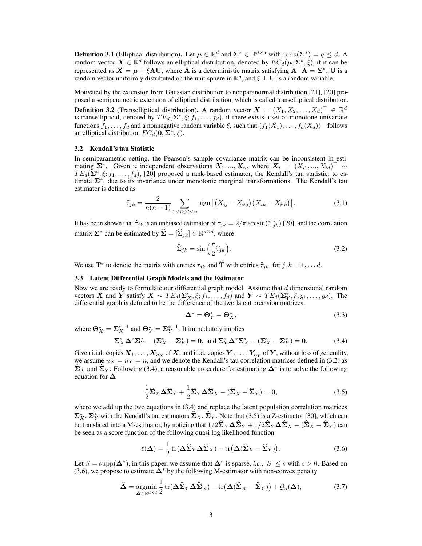**Definition 3.1** (Elliptical distribution). Let  $\mu \in \mathbb{R}^d$  and  $\Sigma^* \in \mathbb{R}^{d \times d}$  with rank( $\Sigma^*$ ) =  $q \leq d$ . A random vector  $\mathbf{X} \in \mathbb{R}^d$  follows an elliptical distribution, denoted by  $EC_d(\mu, \Sigma^*, \xi)$ , if it can be represented as  $X = \mu + \xi A U$ , where A is a deterministic matrix satisfying  $A^{\top} A = \Sigma^*$ , U is a random vector uniformly distributed on the unit sphere in  $\mathbb{R}^q$ , and  $\xi \perp \mathbf{U}$  is a random variable.

Motivated by the extension from Gaussian distribution to nonparanormal distribution [21], [20] proposed a semiparametric extension of elliptical distribution, which is called transelliptical distribution.

**Definition 3.2** (Transelliptical distribution). A random vector  $\mathbf{X} = (X_1, X_2, \ldots, X_d)^\top \in \mathbb{R}^d$ is transelliptical, denoted by  $TE_d(\Sigma^*, \xi; f_1, \ldots, f_d)$ , if there exists a set of monotone univariate functions  $f_1, \ldots, f_d$  and a nonnegative random variable  $\xi$ , such that  $(f_1(X_1), \ldots, f_d(X_d))^{\top}$  follows an elliptical distribution  $EC_d(\mathbf{0}, \Sigma^*, \xi)$ .

#### 3.2 Kendall's tau Statistic

In semiparametric setting, the Pearson's sample covariance matrix can be inconsistent in estimating  $\Sigma^*$ . Given *n* independent observations  $X_1, ..., X_n$ , where  $X_i = (X_{i1}, ..., X_{id})^\top \sim$  $TE_d(\mathbf{\Sigma}^*, \xi; f_1, \ldots, f_d)$ , [20] proposed a rank-based estimator, the Kendall's tau statistic, to estimate  $\Sigma^*$ , due to its invariance under monotonic marginal transformations. The Kendall's tau estimator is defined as

$$
\widehat{\tau}_{jk} = \frac{2}{n(n-1)} \sum_{1 \le i < i' \le n} \text{sign}\left[ \left( X_{ij} - X_{i'j} \right) \left( X_{ik} - X_{i'k} \right) \right]. \tag{3.1}
$$

It has been shown that  $\hat{\tau}_{jk}$  is an unbiased estimator of  $\tau_{jk} = 2/\pi \arcsin(\Sigma^*_{jk})$  [20], and the correlation matrix  $\Sigma^*$  can be estimated by  $\widehat{\Sigma} = [\widehat{\Sigma}_{jk}] \in \mathbb{R}^{d \times d}$ , where

$$
\widehat{\Sigma}_{jk} = \sin\left(\frac{\pi}{2}\widehat{\tau}_{jk}\right). \tag{3.2}
$$

We use  $\mathbf{T}^*$  to denote the matrix with entries  $\tau_{jk}$  and  $\hat{\mathbf{T}}$  with entries  $\hat{\tau}_{jk}$ , for  $j, k = 1, \ldots d$ .

#### 3.3 Latent Differential Graph Models and the Estimator

Now we are ready to formulate our differential graph model. Assume that *d* dimensional random vectors *X* and *Y* satisfy  $X \sim TE_d(\Sigma_X^*, \xi; f_1, \ldots, f_d)$  and  $Y \sim TE_d(\Sigma_Y^*, \xi; g_1, \ldots, g_d)$ . The differential graph is defined to be the difference of the two latent precision matrices,

$$
\Delta^* = \Theta^*_Y - \Theta^*_X,\tag{3.3}
$$

where  $\mathbf{\Theta}_{X}^{*} = \mathbf{\Sigma}_{X}^{*-1}$  and  $\mathbf{\Theta}_{Y}^{*} = \mathbf{\Sigma}_{Y}^{*-1}$ . It immediately implies

$$
\Sigma_X^* \Delta^* \Sigma_Y^* - (\Sigma_X^* - \Sigma_Y^*) = 0, \text{ and } \Sigma_Y^* \Delta^* \Sigma_X^* - (\Sigma_X^* - \Sigma_Y^*) = 0. \tag{3.4}
$$

Given i.i.d. copies  $X_1, \ldots, X_{n_X}$  of  $X$ , and i.i.d. copies  $Y_1, \ldots, Y_{n_Y}$  of  $Y$ , without loss of generality, we assume  $n_X = n_Y = n$ , and we denote the Kendall's tau correlation matrices defined in (3.2) as  $\hat{\Sigma}_X$  and  $\hat{\Sigma}_Y$ . Following (3.4), a reasonable procedure for estimating  $\Delta^*$  is to solve the following equation for  $\Delta$ 

$$
\frac{1}{2}\hat{\Sigma}_X\Delta\hat{\Sigma}_Y + \frac{1}{2}\hat{\Sigma}_Y\Delta\hat{\Sigma}_X - (\hat{\Sigma}_X - \hat{\Sigma}_Y) = \mathbf{0},\tag{3.5}
$$

where we add up the two equations in  $(3.4)$  and replace the latent population correlation matrices  $\Sigma_X^*$ ,  $\Sigma_Y^*$  with the Kendall's tau estimators  $\Sigma_X$ ,  $\Sigma_Y$ . Note that (3.5) is a Z-estimator [30], which can be translated into a M-estimator, by noticing that  $1/2\hat{\Sigma}_X\Delta\hat{\Sigma}_Y + 1/2\hat{\Sigma}_Y\Delta\hat{\Sigma}_X - (\hat{\Sigma}_X - \hat{\Sigma}_Y)$  can be seen as a score function of the following quasi log likelihood function

$$
\ell(\mathbf{\Delta}) = \frac{1}{2} tr(\mathbf{\Delta} \widehat{\mathbf{\Sigma}}_Y \mathbf{\Delta} \widehat{\mathbf{\Sigma}}_X) - tr(\mathbf{\Delta} (\widehat{\mathbf{\Sigma}}_X - \widehat{\mathbf{\Sigma}}_Y)).
$$
\n(3.6)

Let  $S = \text{supp}(\Delta^*)$ , in this paper, we assume that  $\Delta^*$  is sparse, *i.e.*,  $|S| \leq s$  with  $s > 0$ . Based on (3.6), we propose to estimate  $\Delta^*$  by the following M-estimator with non-convex penalty

$$
\widehat{\mathbf{\Delta}} = \underset{\mathbf{\Delta} \in \mathbb{R}^{d \times d}}{\operatorname{argmin}} \frac{1}{2} \operatorname{tr}(\mathbf{\Delta} \widehat{\mathbf{\Sigma}}_Y \mathbf{\Delta} \widehat{\mathbf{\Sigma}}_X) - \operatorname{tr}(\mathbf{\Delta} (\widehat{\mathbf{\Sigma}}_X - \widehat{\mathbf{\Sigma}}_Y)) + \mathcal{G}_{\lambda}(\mathbf{\Delta}), \tag{3.7}
$$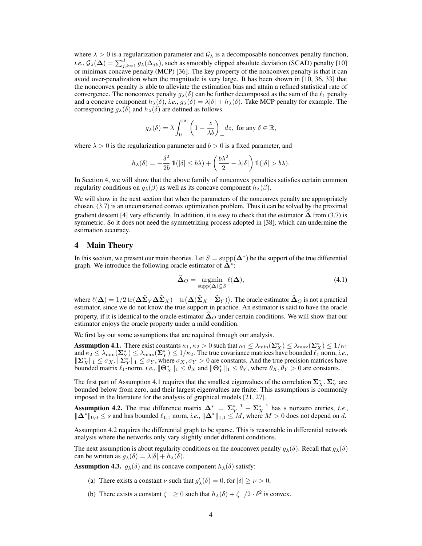where  $\lambda > 0$  is a regularization parameter and  $\mathcal{G}_{\lambda}$  is a decomposable nonconvex penalty function, *i.e.*,  $\mathcal{G}_{\lambda}(\Delta) = \sum_{j,k=1}^{d} g_{\lambda}(\Delta_{jk})$ , such as smoothly clipped absolute deviation (SCAD) penalty [10] or minimax concave penalty (MCP) [36]. The key property of the nonconvex penalty is that it can avoid over-penalization when the magnitude is very large. It has been shown in [10, 36, 33] that the nonconvex penalty is able to alleviate the estimation bias and attain a refined statistical rate of convergence. The nonconvex penalty  $g_{\lambda}(\delta)$  can be further decomposed as the sum of the  $\ell_1$  penalty and a concave component  $h_{\lambda}(\delta)$ , *i.e.*,  $g_{\lambda}(\delta) = \lambda |\delta| + h_{\lambda}(\delta)$ . Take MCP penalty for example. The corresponding  $q_{\lambda}(\delta)$  and  $h_{\lambda}(\delta)$  are defined as follows

$$
g_{\lambda}(\delta) = \lambda \int_0^{|\delta|} \left(1 - \frac{z}{\lambda b}\right)_+ dz, \text{ for any } \delta \in \mathbb{R},
$$

where  $\lambda > 0$  is the regularization parameter and  $b > 0$  is a fixed parameter, and

$$
h_{\lambda}(\delta) = -\frac{\delta^2}{2b} 1(|\delta| \le b\lambda) + \left(\frac{b\lambda^2}{2} - \lambda|\delta|\right) 1(|\delta| > b\lambda).
$$

In Section 4, we will show that the above family of nonconvex penalties satisfies certain common regularity conditions on  $g_{\lambda}(\beta)$  as well as its concave component  $h_{\lambda}(\beta)$ .

We will show in the next section that when the parameters of the nonconvex penalty are appropriately chosen, (3.7) is an unconstrained convex optimization problem. Thus it can be solved by the proximal gradient descent [4] very efficiently. In addition, it is easy to check that the estimator  $\Delta$  from (3.7) is symmetric. So it does not need the symmetrizing process adopted in [38], which can undermine the estimation accuracy.

#### 4 Main Theory

In this section, we present our main theories. Let  $S = \text{supp}(\Delta^*)$  be the support of the true differential graph. We introduce the following oracle estimator of  $\Delta^*$ :

$$
\widehat{\Delta}_O = \underset{\text{supp}(\Delta) \subseteq S}{\text{argmin}} \ell(\Delta),\tag{4.1}
$$

where  $\ell(\mathbf{\Delta})=1/2 \operatorname{tr}(\mathbf{\Delta} \widehat{\mathbf{\Sigma}}_Y \mathbf{\Delta} \widehat{\mathbf{\Sigma}}_X)-\operatorname{tr}(\mathbf{\Delta} (\widehat{\mathbf{\Sigma}}_X-\widehat{\mathbf{\Sigma}}_Y)).$  The oracle estimator  $\widehat{\mathbf{\Delta}}_O$  is not a practical estimator, since we do not know the true support in practice. An estimator is said to have the oracle property, if it is identical to the oracle estimator  $\Delta$ <sub>O</sub> under certain conditions. We will show that our estimator enjoys the oracle property under a mild condition.

We first lay out some assumptions that are required through our analysis.

**Assumption 4.1.** There exist constants  $\kappa_1, \kappa_2 > 0$  such that  $\kappa_1 \leq \lambda_{\min}(\Sigma_X^*) \leq \lambda_{\max}(\Sigma_X^*) \leq 1/\kappa_1$ and  $\kappa_2 \leq \lambda_{\min}(\Sigma_Y^*) \leq \lambda_{\max}(\Sigma_Y^*) \leq 1/\kappa_2$ . The true covariance matrices have bounded  $\ell_1$  norm, *i.e.*,  $\|\Sigma_X^*\|_1 \leq \sigma_X, \|\Sigma_Y^*\|_1 \leq \sigma_Y$ , where  $\sigma_X, \sigma_Y > 0$  are constants. And the true precision matrices have bounded matrix  $\ell_1$ -norm, *i.e.*,  $\|\Theta^*_X\|_1 \leq \theta_X$  and  $\|\Theta^*_Y\|_1 \leq \theta_Y$ , where  $\theta_X, \theta_Y > 0$  are constants.

The first part of Assumption 4.1 requires that the smallest eigenvalues of the correlation  $\Sigma^*_X, \Sigma^*_Y$  are bounded below from zero, and their largest eigenvalues are finite. This assumptions is commonly imposed in the literature for the analysis of graphical models [21, 27].

Assumption 4.2. The true difference matrix  $\Delta^* = \Sigma^{*-1}_{Y} - \Sigma^{*-1}_{X}$  has *s* nonzero entries, *i.e.*,  $\|\mathbf{\Delta}^*\|_{0,0} \leq s$  and has bounded  $\ell_{1,1}$  norm, *i.e.*,  $\|\mathbf{\Delta}^*\|_{1,1} \leq M$ , where  $M > 0$  does not depend on *d*.

Assumption 4.2 requires the differential graph to be sparse. This is reasonable in differential network analysis where the networks only vary slightly under different conditions.

The next assumption is about regularity conditions on the nonconvex penalty  $g_{\lambda}(\delta)$ . Recall that  $g_{\lambda}(\delta)$ can be written as  $g_{\lambda}(\delta) = \lambda |\delta| + h_{\lambda}(\delta)$ .

**Assumption 4.3.**  $g_{\lambda}(\delta)$  and its concave component  $h_{\lambda}(\delta)$  satisfy:

- (a) There exists a constant  $\nu$  such that  $g'_{\lambda}(\delta) = 0$ , for  $|\delta| \ge \nu > 0$ .
- (b) There exists a constant  $\zeta = \sum 0$  such that  $h_{\lambda}(\delta) + \zeta / 2 \cdot \delta^2$  is convex.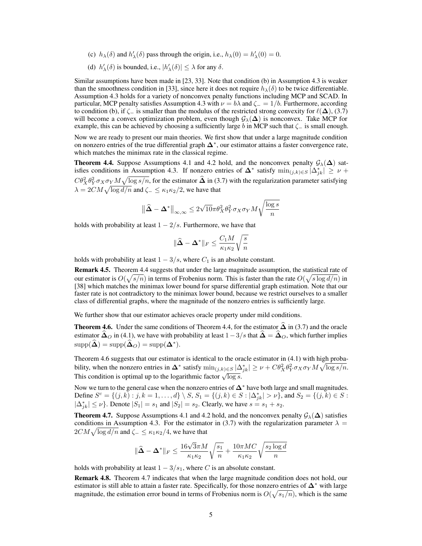- (c)  $h_{\lambda}(\delta)$  and  $h'_{\lambda}(\delta)$  pass through the origin, i.e.,  $h_{\lambda}(0) = h'_{\lambda}(0) = 0$ .
- (d)  $h'_{\lambda}(\delta)$  is bounded, i.e.,  $|h'_{\lambda}(\delta)| \leq \lambda$  for any  $\delta$ .

Similar assumptions have been made in [23, 33]. Note that condition (b) in Assumption 4.3 is weaker than the smoothness condition in [33], since here it does not require  $h_{\lambda}(\delta)$  to be twice differentiable. Assumption 4.3 holds for a variety of nonconvex penalty functions including MCP and SCAD. In particular, MCP penalty satisfies Assumption 4.3 with  $\nu = b\lambda$  and  $\zeta = 1/b$ . Furthermore, according to condition (b), if  $\zeta$  is smaller than the modulus of the restricted strong convexity for  $\ell(\Delta)$ , (3.7) will become a convex optimization problem, even though  $G_{\lambda}(\Delta)$  is nonconvex. Take MCP for example, this can be achieved by choosing a sufficiently large *b* in MCP such that  $\zeta$  is small enough.

Now we are ready to present our main theories. We first show that under a large magnitude condition on nonzero entries of the true differential graph  $\Delta^*$ , our estimator attains a faster convergence rate, which matches the minimax rate in the classical regime.

**Theorem 4.4.** Suppose Assumptions 4.1 and 4.2 hold, and the nonconvex penalty  $G_{\lambda}(\Delta)$  satisfies conditions in Assumption 4.3. If nonzero entries of  $\Delta^*$  satisfy  $\min_{(j,k)\in S} |\Delta^*_{jk}| \geq \nu +$  $C\theta_X^2 \theta_Y^2 \sigma_X \sigma_Y M \sqrt{\log s/n}$ , for the estimator  $\hat{\Delta}$  in (3.7) with the regularization parameter satisfying  $\lambda = 2CM \sqrt{\log d/n}$  and  $\zeta_{-} \leq \kappa_1 \kappa_2/2$ , we have that

$$
\big\| \widehat{\boldsymbol{\Delta}} - \boldsymbol{\Delta}^* \big\|_{\infty,\infty} \leq 2 \sqrt{10} \pi \theta_X^2 \theta_Y^2 \sigma_X \sigma_Y M \sqrt{\frac{\log s}{n}}
$$

holds with probability at least  $1 - 2/s$ . Furthermore, we have that

$$
\|\widehat{\boldsymbol{\Delta}}-\boldsymbol{\Delta}^*\|_F\leq \frac{C_1M}{\kappa_1\kappa_2}\sqrt{\frac{s}{n}}
$$

holds with probability at least  $1 - 3/s$ , where  $C_1$  is an absolute constant.

Remark 4.5. Theorem 4.4 suggests that under the large magnitude assumption, the statistical rate of our estimator is  $O(\sqrt{s/n})$  in terms of Frobenius norm. This is faster than the rate  $O(\sqrt{s \log d/n})$  in [38] which matches the minimax lower bound for sparse differential graph estimation. Note that our faster rate is not contradictory to the minimax lower bound, because we restrict ourselves to a smaller class of differential graphs, where the magnitude of the nonzero entries is sufficiently large.

We further show that our estimator achieves oracle property under mild conditions.

**Theorem 4.6.** Under the same conditions of Theorem 4.4, for the estimator  $\hat{\Delta}$  in (3.7) and the oracle estimator  $\hat{\Delta}_O$  in (4.1), we have with probability at least  $1-3/s$  that  $\hat{\Delta} = \hat{\Delta}_O$ , which further implies  $\text{supp}(\hat{\boldsymbol{\Delta}}) = \text{supp}(\hat{\boldsymbol{\Delta}}_O) = \text{supp}(\boldsymbol{\Delta}^*).$ 

Theorem 4.6 suggests that our estimator is identical to the oracle estimator in (4.1) with high probability, when the nonzero entries in  $\Delta^*$  satisfy  $\min_{(j,k)\in S} |\Delta^*_{jk}| \geq \nu + C\theta_X^2 \theta_Y^2 \sigma_X \sigma_Y M \sqrt{\log s/n}$ . This condition is optimal up to the logarithmic factor  $\sqrt{\log s}$ .

Now we turn to the general case when the nonzero entries of  $\Delta^*$  have both large and small magnitudes. Define  $S^c = \{(j,k) : j,k = 1,\ldots,d\} \setminus S$ ,  $S_1 = \{(j,k) \in S : |\Delta_{jk}^*| > \nu\}$ , and  $S_2 = \{(j,k) \in S : |\Delta_{jk}^*| > \nu\}$  $|\Delta_{jk}^*| \le \nu$ . Denote  $|S_1| = s_1$  and  $|S_2| = s_2$ . Clearly, we have  $s = s_1 + s_2$ .

**Theorem 4.7.** Suppose Assumptions 4.1 and 4.2 hold, and the nonconvex penalty  $G_{\lambda}(\Delta)$  satisfies conditions in Assumption 4.3. For the estimator in (3.7) with the regularization parameter  $\lambda =$  $2CM\sqrt{\log d/n}$  and  $\zeta_- \leq \kappa_1\kappa_2/4$ , we have that

$$
\|\widehat{\boldsymbol{\Delta}}-\boldsymbol{\Delta}^*\|_F\leq \frac{16\sqrt{3}\pi M}{\kappa_1\kappa_2}\sqrt{\frac{s_1}{n}}+\frac{10\pi MC}{\kappa_1\kappa_2}\sqrt{\frac{s_2\log d}{n}}
$$

holds with probability at least  $1 - 3/s_1$ , where *C* is an absolute constant.

Remark 4.8. Theorem 4.7 indicates that when the large magnitude condition does not hold, our estimator is still able to attain a faster rate. Specifically, for those nonzero entries of  $\Delta^*$  with large magnitude, the estimation error bound in terms of Frobenius norm is  $O(\sqrt{s_1/n})$ , which is the same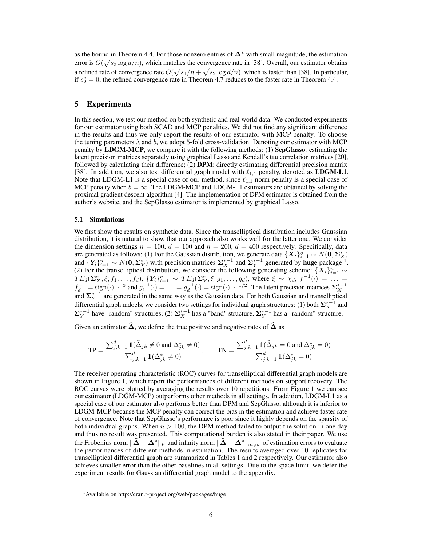as the bound in Theorem 4.4. For those nonzero entries of  $\Delta^*$  with small magnitude, the estimation error is  $O(\sqrt{s_2 \log d/n})$ , which matches the convergence rate in [38]. Overall, our estimator obtains a refined rate of convergence rate  $O(\sqrt{s_1/n} + \sqrt{s_2 \log d/n})$ , which is faster than [38]. In particular, if  $s_2^* = 0$ , the refined convergence rate in Theorem 4.7 reduces to the faster rate in Theorem 4.4.

## 5 Experiments

In this section, we test our method on both synthetic and real world data. We conducted experiments for our estimator using both SCAD and MCP penalties. We did not find any significant difference in the results and thus we only report the results of our estimator with MCP penalty. To choose the tuning parameters  $\lambda$  and *b*, we adopt 5-fold cross-validation. Denoting our estimator with MCP penalty by LDGM-MCP, we compare it with the following methods: (1) SepGlasso: estimating the latent precision matrices separately using graphical Lasso and Kendall's tau correlation matrices [20], followed by calculating their difference; (2) DPM: directly estimating differential precision matrix [38]. In addition, we also test differential graph model with  $\ell_{1,1}$  penalty, denoted as **LDGM-L1**. Note that LDGM-L1 is a special case of our method, since  $\ell_{1,1}$  norm penalty is a special case of MCP penalty when  $b = \infty$ . The LDGM-MCP and LDGM-L1 estimators are obtained by solving the proximal gradient descent algorithm [4]. The implementation of DPM estimator is obtained from the author's website, and the SepGlasso estimator is implemented by graphical Lasso.

#### 5.1 Simulations

We first show the results on synthetic data. Since the transelliptical distribution includes Gaussian distribution, it is natural to show that our approach also works well for the latter one. We consider the dimension settings  $n = 100$ ,  $d = 100$  and  $n = 200$ ,  $d = 400$  respectively. Specifically, data are generated as follows: (1) For the Gaussian distribution, we generate data  $\{X_i\}_{i=1}^n \sim N(\mathbf{0}, \Sigma_X^*)$ and  ${Y_i}_{i=1}^n \sim N(0, \Sigma_Y^*)$  with precision matrices  $\Sigma_X^{*-1}$  and  $\Sigma_Y^{*-1}$  generated by huge package <sup>1</sup>. (2) For the transelliptical distribution, we consider the following generating scheme:  $\{X_i\}_{i=1}^n \sim$  $TE_d(\Sigma^*_X, \xi; f_1, \ldots, f_d), \{Y_i\}_{i=1}^n \sim TE_d(\Sigma^*_Y, \xi; g_1, \ldots, g_d),$  where  $\xi \sim \chi_d, f_1^{-1}(\cdot) = \ldots =$  $f_d^{-1} = \text{sign}(\cdot) | \cdot |^3$  and  $g_1^{-1}(\cdot) = \ldots = g_d^{-1}(\cdot) = \text{sign}(\cdot) | \cdot |^{1/2}$ . The latent precision matrices  $\Sigma_X^{*-1}$  and  $\Sigma_Y^{*-1}$  are generated in the same way as the Gaussian data. For both Gaussian and transelliptical differential graph mdoels, we consider two settings for individual graph structures: (1) both  $\Sigma_X^{*-1}$  and  $\Sigma_Y^{*-1}$  have "random" structures; (2)  $\Sigma_X^{*-1}$  has a "band" structure,  $\Sigma_Y^{*-1}$  has a "random" structure.

Given an estimator  $\widehat{\Delta}$ , we define the true positive and negative rates of  $\widehat{\Delta}$  as

$$
TP = \frac{\sum_{j,k=1}^{d} \mathbb{1}(\widehat{\Delta}_{jk} \neq 0 \text{ and } \Delta_{jk}^{*} \neq 0)}{\sum_{j,k=1}^{d} \mathbb{1}(\Delta_{jk}^{*} \neq 0)}, \qquad TN = \frac{\sum_{j,k=1}^{d} \mathbb{1}(\widehat{\Delta}_{jk} = 0 \text{ and } \Delta_{jk}^{*} = 0)}{\sum_{j,k=1}^{d} \mathbb{1}(\Delta_{jk}^{*} = 0)}.
$$

The receiver operating characteristic (ROC) curves for transelliptical differential graph models are shown in Figure 1, which report the performances of different methods on support recovery. The ROC curves were plotted by averaging the results over 10 repetitions. From Figure 1 we can see our estimator (LDGM-MCP) outperforms other methods in all settings. In addition, LDGM-L1 as a special case of our estimator also performs better than DPM and SepGlasso, although it is inferior to LDGM-MCP because the MCP penalty can correct the bias in the estimation and achieve faster rate of convergence. Note that SepGlasso's performace is poor since it highly depends on the sparsity of both individual graphs. When *n >* 100, the DPM method failed to output the solution in one day and thus no result was presented. This computational burden is also stated in their paper. We use the Frobenius norm  $\|\tilde{\Delta} - \Delta^*\|_F$  and infinity norm  $\|\tilde{\Delta} - \Delta^*\|_{\infty,\infty}$  of estimation errors to evaluate the performances of different methods in estimation. The results averaged over 10 replicates for transelliptical differential graph are summarized in Tables 1 and 2 respectively. Our estimator also achieves smaller error than the other baselines in all settings. Due to the space limit, we defer the experiment results for Gaussian differential graph model to the appendix.

<sup>1</sup> Available on http://cran.r-project.org/web/packages/huge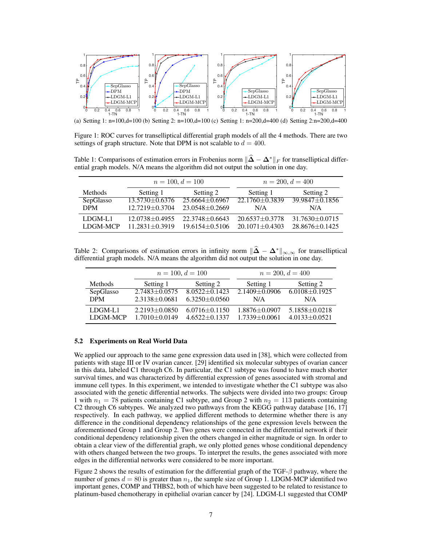

(a) Setting 1: n=100,d=100 (b) Setting 2: n=100,d=100 (c) Setting 1: n=200,d=400 (d) Setting 2:n=200,d=400

Figure 1: ROC curves for transelliptical differential graph models of all the 4 methods. There are two settings of graph structure. Note that DPM is not scalable to  $d = 400$ .

Table 1: Comparisons of estimation errors in Frobenius norm  $\|\Delta - \Delta^*\|_F$  for transelliptical differential graph models. N/A means the algorithm did not output the solution in one day.

|                | $n = 100, d = 100$   |                      | $n = 200, d = 400$   |                      |
|----------------|----------------------|----------------------|----------------------|----------------------|
| <b>Methods</b> | Setting 1            | Setting 2            | Setting 1            | Setting 2            |
| SepGlasso      | $13.5730 \pm 0.6376$ | $25.6664 \pm 0.6967$ | $22.1760 + 0.3839$   | $39.9847 \pm 0.1856$ |
| <b>DPM</b>     | $12.7219 + 0.3704$   | $23.0548 \pm 0.2669$ | N/A                  | N/A                  |
| $LDGM-L1$      | $12.0738 \pm 0.4955$ | $22.3748 \pm 0.6643$ | $20.6537 \pm 0.3778$ | $31.7630 \pm 0.0715$ |
| LDGM-MCP       | $11.2831 + 0.3919$   | $19.6154 \pm 0.5106$ | $20.1071 \pm 0.4303$ | $28.8676 \pm 0.1425$ |

Table 2: Comparisons of estimation errors in infinity norm  $\|\Delta - \Delta^*\|_{\infty,\infty}$  for transelliptical differential graph models. N/A means the algorithm did not output the solution in one day.

|                 | $n = 100, d = 100$  |                     | $n = 200, d = 400$  |                     |
|-----------------|---------------------|---------------------|---------------------|---------------------|
| <b>Methods</b>  | Setting 1           | Setting 2           | Setting 1           | Setting 2           |
| SepGlasso       | $2.7483 + 0.0575$   | $8.0522 + 0.1423$   | $2.1409 + 0.0906$   | $6.0108 \pm 0.1925$ |
| <b>DPM</b>      | $2.3138 \pm 0.0681$ | $6.3250 \pm 0.0560$ | N/A                 | N/A                 |
| $LDGM-L1$       | $2.2193 \pm 0.0850$ | $6.0716 \pm 0.1150$ | $1.8876 \pm 0.0907$ | $5.1858 \pm 0.0218$ |
| <b>LDGM-MCP</b> | $1.7010 + 0.0149$   | $4.6522+0.1337$     | $1.7339 \pm 0.0061$ | $4.0133 \pm 0.0521$ |

#### 5.2 Experiments on Real World Data

We applied our approach to the same gene expression data used in [38], which were collected from patients with stage III or IV ovarian cancer. [29] identified six molecular subtypes of ovarian cancer in this data, labeled C1 through C6. In particular, the C1 subtype was found to have much shorter survival times, and was characterized by differential expression of genes associated with stromal and immune cell types. In this experiment, we intended to investigate whether the C1 subtype was also associated with the genetic differential networks. The subjects were divided into two groups: Group 1 with  $n_1 = 78$  patients containing C1 subtype, and Group 2 with  $n_2 = 113$  patients containing C2 through C6 subtypes. We analyzed two pathways from the KEGG pathway database [16, 17] respectively. In each pathway, we applied different methods to determine whether there is any difference in the conditional dependency relationships of the gene expression levels between the aforementioned Group 1 and Group 2. Two genes were connected in the differential network if their conditional dependency relationship given the others changed in either magnitude or sign. In order to obtain a clear view of the differential graph, we only plotted genes whose conditional dependency with others changed between the two groups. To interpret the results, the genes associated with more edges in the differential networks were considered to be more important.

Figure 2 shows the results of estimation for the differential graph of the TGF- $\beta$  pathway, where the number of genes  $d = 80$  is greater than  $n_1$ , the sample size of Group 1. LDGM-MCP identified two important genes, COMP and THBS2, both of which have been suggested to be related to resistance to platinum-based chemotherapy in epithelial ovarian cancer by [24]. LDGM-L1 suggested that COMP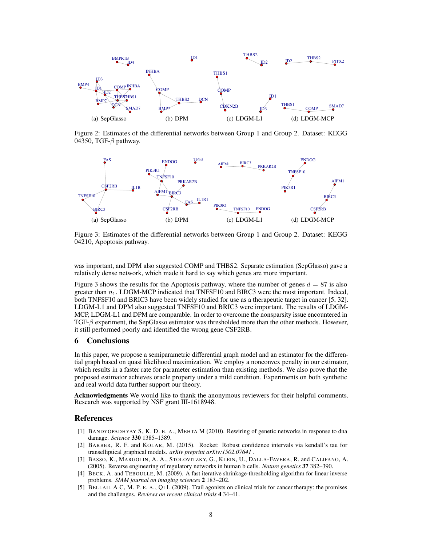

Figure 2: Estimates of the differential networks between Group 1 and Group 2. Dataset: KEGG 04350, TGF- $\beta$  pathway.



Figure 3: Estimates of the differential networks between Group 1 and Group 2. Dataset: KEGG 04210, Apoptosis pathway.

was important, and DPM also suggested COMP and THBS2. Separate estimation (SepGlasso) gave a relatively dense network, which made it hard to say which genes are more important.

Figure 3 shows the results for the Apoptosis pathway, where the number of genes  $d = 87$  is also greater than *n*1. LDGM-MCP indicated that TNFSF10 and BIRC3 were the most important. Indeed, both TNFSF10 and BRIC3 have been widely studied for use as a therapeutic target in cancer [5, 32]. LDGM-L1 and DPM also suggested TNFSF10 and BRIC3 were important. The results of LDGM-MCP, LDGM-L1 and DPM are comparable. In order to overcome the nonsparsity issue encountered in TGF- $\beta$  experiment, the SepGlasso estimator was thresholded more than the other methods. However, it still performed poorly and identified the wrong gene CSF2RB.

### 6 Conclusions

In this paper, we propose a semiparametric differential graph model and an estimator for the differential graph based on quasi likelihood maximization. We employ a nonconvex penalty in our estimator, which results in a faster rate for parameter estimation than existing methods. We also prove that the proposed estimator achieves oracle property under a mild condition. Experiments on both synthetic and real world data further support our theory.

Acknowledgments We would like to thank the anonymous reviewers for their helpful comments. Research was supported by NSF grant III-1618948.

#### References

- [1] BANDYOPADHYAY S, K. D. E. A., MEHTA M (2010). Rewiring of genetic networks in response to dna damage. *Science* 330 1385–1389.
- [2] BARBER, R. F. and KOLAR, M. (2015). Rocket: Robust confidence intervals via kendall's tau for transelliptical graphical models. *arXiv preprint arXiv:1502.07641* .
- [3] BASSO, K., MARGOLIN, A. A., STOLOVITZKY, G., KLEIN, U., DALLA-FAVERA, R. and CALIFANO, A. (2005). Reverse engineering of regulatory networks in human b cells. *Nature genetics* 37 382–390.
- [4] BECK, A. and TEBOULLE, M. (2009). A fast iterative shrinkage-thresholding algorithm for linear inverse problems. *SIAM journal on imaging sciences* 2 183–202.
- [5] BELLAIL A C, M. P. E. A., QI L (2009). Trail agonists on clinical trials for cancer therapy: the promises and the challenges. *Reviews on recent clinical trials* 4 34–41.